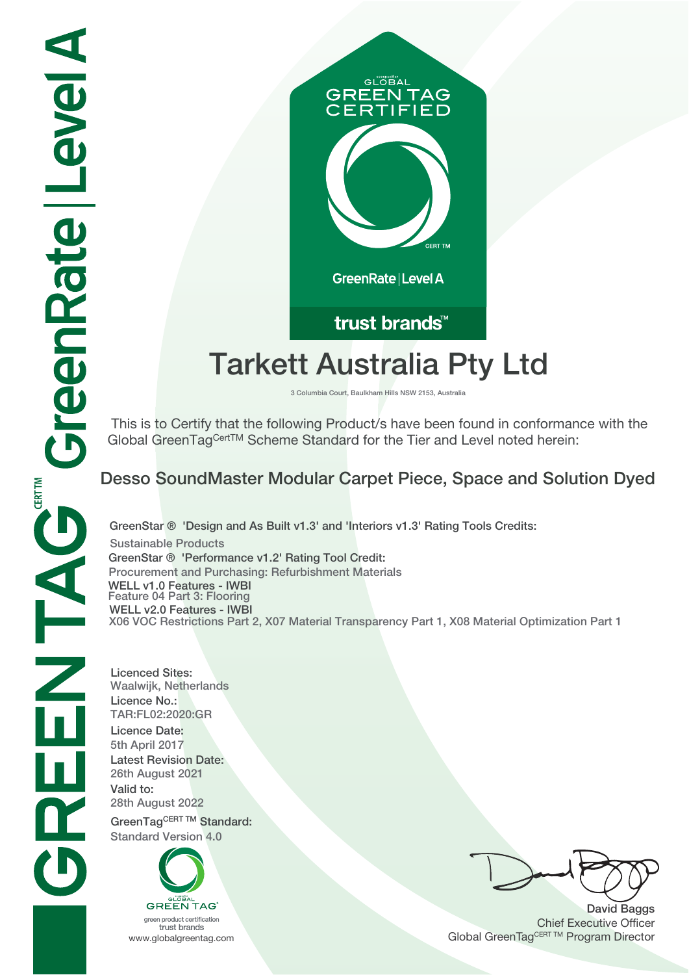

# trust brands<sup>™</sup>

# **Tarkett Australia Pty Ltd**

**3 Columbia Court, Baulkham Hills NSW 2153, Australia**

 This is to Certify that the following Product/s have been found in conformance with the Global GreenTagCertTM Scheme Standard for the Tier and Level noted herein:

## **Desso SoundMaster Modular Carpet Piece, Space and Solution Dyed**

**GreenStar ® 'Design and As Built v1.3' and 'Interiors v1.3' Rating Tools Credits: Sustainable Products GreenStar ® 'Performance v1.2' Rating Tool Credit: Procurement and Purchasing: Refurbishment Materials WELL v1.0 Features - IWBI Feature 04 Part 3: Flooring WELL v2.0 Features - IWBI X06 VOC Restrictions Part 2, X07 Material Transparency Part 1, X08 Material Optimization Part 1**

**Licenced Sites: Waalwijk, Netherlands Licence No.: TAR:FL02:2020:GR Licence Date: 5th April 2017 Latest Revision Date: 26th August 2021 Valid to: 28th August 2022** GreenTagCERT TM Standard:

**Standard Version 4.0**



green product certification trust brands

**David Baggs** Chief Executive Officer WWW.globalgreentag.com **Program Director** Clobal GreenTagCERT TM Program Director